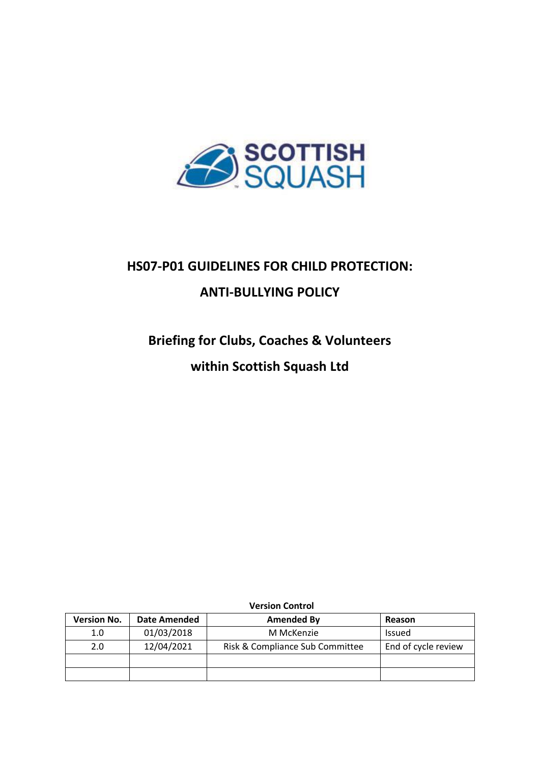

# **HS07-P01 GUIDELINES FOR CHILD PROTECTION: ANTI-BULLYING POLICY**

# **Briefing for Clubs, Coaches & Volunteers**

## **within Scottish Squash Ltd**

| <b>Version No.</b> | Date Amended | <b>Amended By</b>               | Reason              |
|--------------------|--------------|---------------------------------|---------------------|
| 1.0                | 01/03/2018   | M McKenzie                      | Issued              |
| 2.0                | 12/04/2021   | Risk & Compliance Sub Committee | End of cycle review |
|                    |              |                                 |                     |
|                    |              |                                 |                     |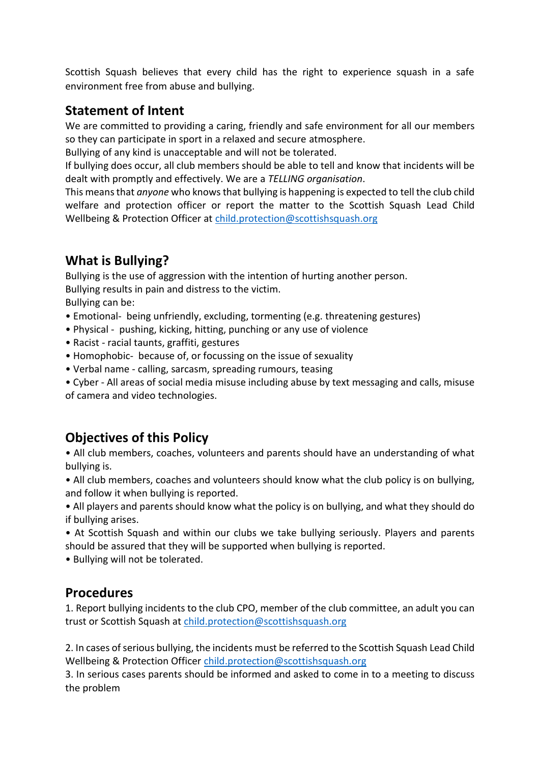Scottish Squash believes that every child has the right to experience squash in a safe environment free from abuse and bullying.

### **Statement of Intent**

We are committed to providing a caring, friendly and safe environment for all our members so they can participate in sport in a relaxed and secure atmosphere.

Bullying of any kind is unacceptable and will not be tolerated.

If bullying does occur, all club members should be able to tell and know that incidents will be dealt with promptly and effectively. We are a *TELLING organisation*.

This means that *anyone* who knows that bullying is happening is expected to tell the club child welfare and protection officer or report the matter to the Scottish Squash Lead Child Wellbeing & Protection Officer at [child.protection@scottishsquash.org](mailto:child.protection@scottishsquash.org)

## **What is Bullying?**

Bullying is the use of aggression with the intention of hurting another person. Bullying results in pain and distress to the victim.

Bullying can be:

- Emotional- being unfriendly, excluding, tormenting (e.g. threatening gestures)
- Physical pushing, kicking, hitting, punching or any use of violence
- Racist racial taunts, graffiti, gestures
- Homophobic- because of, or focussing on the issue of sexuality
- Verbal name calling, sarcasm, spreading rumours, teasing
- Cyber All areas of social media misuse including abuse by text messaging and calls, misuse of camera and video technologies.

## **Objectives of this Policy**

• All club members, coaches, volunteers and parents should have an understanding of what bullying is.

• All club members, coaches and volunteers should know what the club policy is on bullying, and follow it when bullying is reported.

• All players and parents should know what the policy is on bullying, and what they should do if bullying arises.

• At Scottish Squash and within our clubs we take bullying seriously. Players and parents should be assured that they will be supported when bullying is reported.

• Bullying will not be tolerated.

### **Procedures**

1. Report bullying incidents to the club CPO, member of the club committee, an adult you can trust or Scottish Squash at [child.protection@scottishsquash.org](mailto:child.protection@scottishsquash.org)

2. In cases of serious bullying, the incidents must be referred to the Scottish Squash Lead Child Wellbeing & Protection Officer [child.protection@scottishsquash.org](mailto:child.protection@scottishsquash.org)

3. In serious cases parents should be informed and asked to come in to a meeting to discuss the problem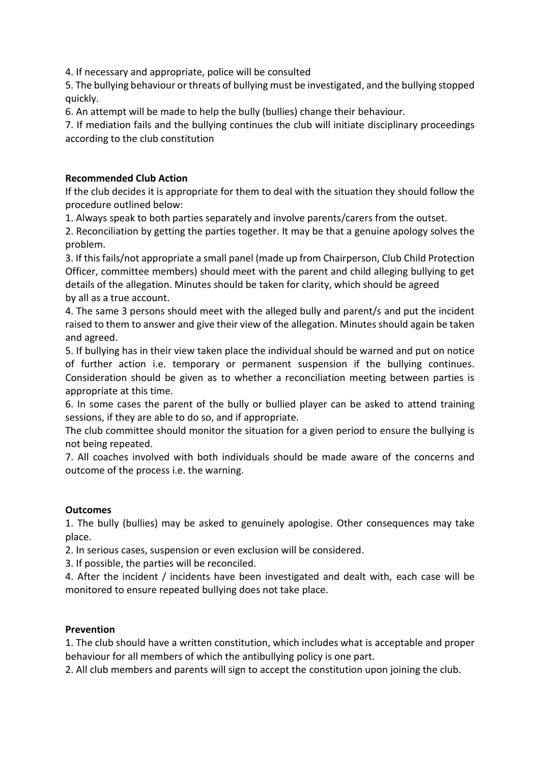4. If necessary and appropriate, police will be consulted

5. The bullying behaviour or threats of bullying must be investigated, and the bullying stopped quickly.

6. An attempt will be made to help the bully (bullies) change their behaviour.

7. If mediation fails and the bullying continues the club will initiate disciplinary proceedings according to the club constitution

#### **Recommended Club Action**

If the club decides it is appropriate for them to deal with the situation they should follow the procedure outlined below:

1. Always speak to both parties separately and involve parents/carers from the outset.

2. Reconciliation by getting the parties together. It may be that a genuine apology solves the problem.

3. If this fails/not appropriate a small panel (made up from Chairperson, Club Child Protection Officer, committee members) should meet with the parent and child alleging bullying to get details of the allegation. Minutes should be taken for clarity, which should be agreed by all as a true account.

4. The same 3 persons should meet with the alleged bully and parent/s and put the incident raised to them to answer and give their view of the allegation. Minutes should again be taken and agreed.

5. If bullying has in their view taken place the individual should be warned and put on notice of further action i.e. temporary or permanent suspension if the bullying continues. Consideration should be given as to whether a reconciliation meeting between parties is appropriate at this time.

6. In some cases the parent of the bully or bullied player can be asked to attend training sessions, if they are able to do so, and if appropriate.

The club committee should monitor the situation for a given period to ensure the bullying is not being repeated.

7. All coaches involved with both individuals should be made aware of the concerns and outcome of the process i.e. the warning.

#### **Outcomes**

1. The bully (bullies) may be asked to genuinely apologise. Other consequences may take place.

2. In serious cases, suspension or even exclusion will be considered.

3. If possible, the parties will be reconciled.

4. After the incident / incidents have been investigated and dealt with, each case will be monitored to ensure repeated bullying does not take place.

#### **Prevention**

1. The club should have a written constitution, which includes what is acceptable and proper behaviour for all members of which the antibullying policy is one part.

2. All club members and parents will sign to accept the constitution upon joining the club.